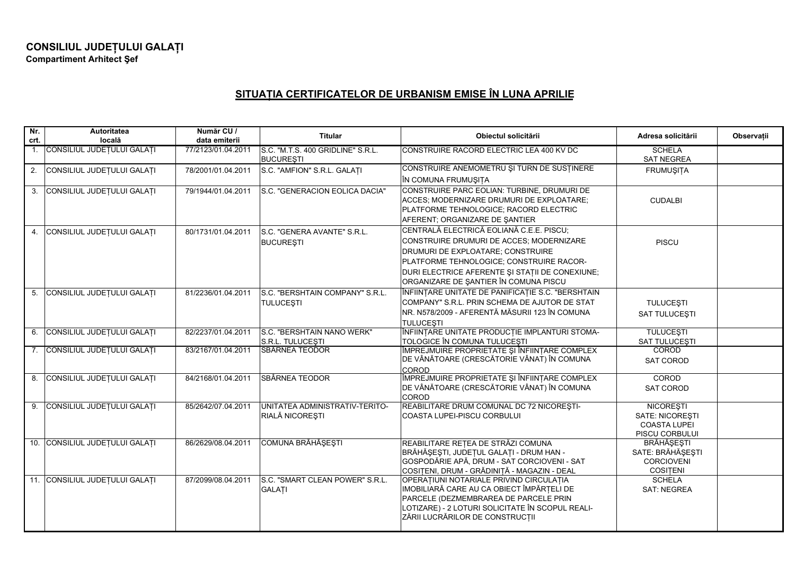## **SITUA IA CERTIFICATELOR DE URBANISM EMISE ÎN LUNA APRILIE**

| Nr.<br>crt. | Autoritatea<br>locală          | Număr CU /<br>data emiterii | <b>Titular</b>                                        | Obiectul solicitării                                                                                                                                                                                                                                              | Adresa solicitării                                                                  | Observații |
|-------------|--------------------------------|-----------------------------|-------------------------------------------------------|-------------------------------------------------------------------------------------------------------------------------------------------------------------------------------------------------------------------------------------------------------------------|-------------------------------------------------------------------------------------|------------|
|             | 1. CONSILIUL JUDEȚULUI GALAȚI  | 77/2123/01.04.2011          | S.C. "M.T.S. 400 GRIDLINE" S.R.L.<br><b>BUCUREȘTI</b> | CONSTRUIRE RACORD ELECTRIC LEA 400 KV DC                                                                                                                                                                                                                          | <b>SCHELA</b><br><b>SAT NEGREA</b>                                                  |            |
| 2.          | CONSILIUL JUDEȚULUI GALAȚI     | 78/2001/01.04.2011          | S.C. "AMFION" S.R.L. GALATI                           | CONSTRUIRE ANEMOMETRU ȘI TURN DE SUSȚINERE<br>ÎN COMUNA FRUMUŞIȚA                                                                                                                                                                                                 | FRUMUŞIȚA                                                                           |            |
|             | 3. CONSILIUL JUDEȚULUI GALAȚI  | 79/1944/01.04.2011          | S.C. "GENERACION EOLICA DACIA"                        | CONSTRUIRE PARC EOLIAN: TURBINE, DRUMURI DE<br>ACCES; MODERNIZARE DRUMURI DE EXPLOATARE;<br>PLATFORME TEHNOLOGICE; RACORD ELECTRIC<br>AFERENT; ORGANIZARE DE SANTIER                                                                                              | <b>CUDALBI</b>                                                                      |            |
|             | 4. CONSILIUL JUDEȚULUI GALAȚI  | 80/1731/01.04.2011          | S.C. "GENERA AVANTE" S.R.L.<br><b>BUCURESTI</b>       | CENTRALĂ ELECTRICĂ EOLIANĂ C.E.E. PISCU;<br>CONSTRUIRE DRUMURI DE ACCES; MODERNIZARE<br>DRUMURI DE EXPLOATARE; CONSTRUIRE<br>PLATFORME TEHNOLOGICE; CONSTRUIRE RACOR-<br>DURI ELECTRICE AFERENTE ȘI STAȚII DE CONEXIUNE;<br>ORGANIZARE DE SANTIER ÎN COMUNA PISCU | <b>PISCU</b>                                                                        |            |
|             | 5. CONSILIUL JUDEȚULUI GALAȚI  | 81/2236/01.04.2011          | S.C. "BERSHTAIN COMPANY" S.R.L.<br>TULUCEȘTI          | ÎNFIINȚARE UNITATE DE PANIFICAȚIE S.C. "BERSHTAIN<br>COMPANY" S.R.L. PRIN SCHEMA DE AJUTOR DE STAT<br>NR. N578/2009 - AFERENTĂ MĂSURII 123 ÎN COMUNA<br><b>TULUCESTI</b>                                                                                          | <b>TULUCEȘTI</b><br>SAT TULUCESTI                                                   |            |
|             | 6. CONSILIUL JUDEȚULUI GALAȚI  | 82/2237/01.04.2011          | S.C. "BERSHTAIN NANO WERK"<br>S.R.L. TULUCESTI        | ÎNFIINȚARE UNITATE PRODUCȚIE IMPLANTURI STOMA-<br>TOLOGICE ÎN COMUNA TULUCEȘTI                                                                                                                                                                                    | <b>TULUCESTI</b><br><b>SAT TULUCESTI</b>                                            |            |
|             | 7. CONSILIUL JUDEȚULUI GALAȚI  | 83/2167/01.04.2011          | <b>SBÂRNEA TEODOR</b>                                 | ÎMPREJMUIRE PROPRIETATE ȘI ÎNFIINȚARE COMPLEX<br>DE VÂNĂTOARE (CRESCĂTORIE VÂNAT) ÎN COMUNA<br>COROD                                                                                                                                                              | COROD<br><b>SAT COROD</b>                                                           |            |
| 8.          | CONSILIUL JUDEȚULUI GALAȚI     | 84/2168/01.04.2011          | SBÂRNEA TEODOR                                        | ÎMPREJMUIRE PROPRIETATE ȘI ÎNFIINȚARE COMPLEX<br>DE VÂNĂTOARE (CRESCĂTORIE VÂNAT) ÎN COMUNA<br><b>COROD</b>                                                                                                                                                       | COROD<br><b>SAT COROD</b>                                                           |            |
|             | 9. CONSILIUL JUDEȚULUI GALAȚI  | 85/2642/07.04.2011          | UNITATEA ADMINISTRATIV-TERITO-<br>RIALĂ NICOREȘTI     | REABILITARE DRUM COMUNAL DC 72 NICORESTI-<br>COASTA LUPEI-PISCU CORBULUI                                                                                                                                                                                          | <b>NICORESTI</b><br><b>SATE: NICORESTI</b><br><b>COASTA LUPEI</b><br>PISCU CORBULUI |            |
|             | 10. CONSILIUL JUDEȚULUI GALAȚI | 86/2629/08.04.2011          | COMUNA BRĂHĂȘEȘTI                                     | REABILITARE REȚEA DE STRĂZI COMUNA<br>BRĂHĂȘEȘTI, JUDEȚUL GALAȚI - DRUM HAN -<br>GOSPODĂRIE APĂ, DRUM - SAT CORCIOVENI - SAT<br>COSITENI, DRUM - GRĂDINIȚĂ - MAGAZIN - DEAL                                                                                       | <b>BRĂHĂȘEȘTI</b><br>SATE: BRĂHĂȘEȘTI<br><b>CORCIOVENI</b><br><b>COSITENI</b>       |            |
|             | 11. CONSILIUL JUDEȚULUI GALAȚI | 87/2099/08.04.2011          | S.C. "SMART CLEAN POWER" S.R.L.<br><b>GALATI</b>      | OPERATIUNI NOTARIALE PRIVIND CIRCULATIA<br>IMOBILIARĂ CARE AU CA OBIECT ÎMPĂRȚELI DE<br>PARCELE (DEZMEMBRAREA DE PARCELE PRIN<br>LOTIZARE) - 2 LOTURI SOLICITATE ÎN SCOPUL REALI-<br>ZĂRII LUCRĂRILOR DE CONSTRUCȚII                                              | <b>SCHELA</b><br><b>SAT: NEGREA</b>                                                 |            |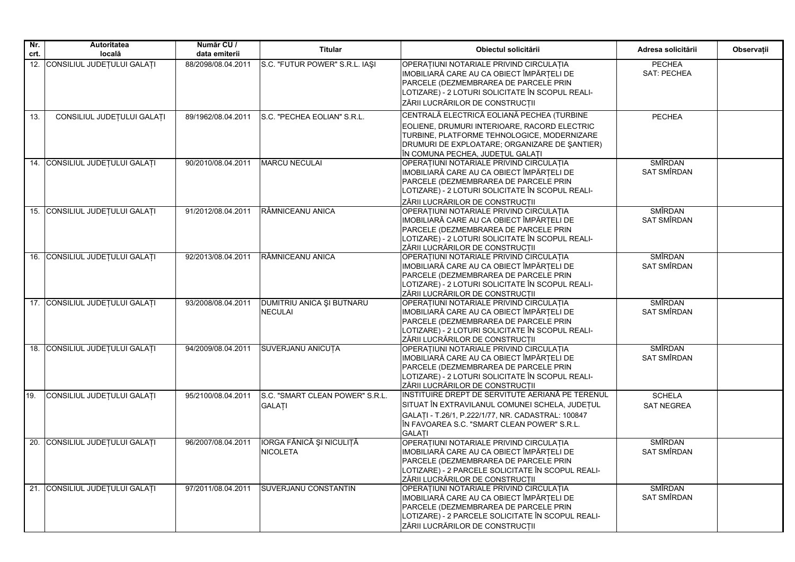| Nr.  | <b>Autoritatea</b>             | Număr CU /         | <b>Titular</b>                                     | Obiectul solicitării                                                                                                                                                                                                     | Adresa solicitării                 | Observații |
|------|--------------------------------|--------------------|----------------------------------------------------|--------------------------------------------------------------------------------------------------------------------------------------------------------------------------------------------------------------------------|------------------------------------|------------|
| crt. | locală                         | data emiterii      |                                                    |                                                                                                                                                                                                                          |                                    |            |
|      | 12. CONSILIUL JUDEȚULUI GALAȚI | 88/2098/08.04.2011 | S.C. "FUTUR POWER" S.R.L. IAŞI                     | OPERAȚIUNI NOTARIALE PRIVIND CIRCULAȚIA<br>IMOBILIARĂ CARE AU CA OBIECT ÎMPĂRȚELI DE<br>PARCELE (DEZMEMBRAREA DE PARCELE PRIN<br>LOTIZARE) - 2 LOTURI SOLICITATE ÎN SCOPUL REALI-<br>ZĂRII LUCRĂRILOR DE CONSTRUCȚII     | <b>PECHEA</b><br>SAT: PECHEA       |            |
| 13.  | CONSILIUL JUDETULUI GALATI     | 89/1962/08.04.2011 | S.C. "PECHEA EOLIAN" S.R.L.                        | CENTRALĂ ELECTRICĂ EOLIANĂ PECHEA (TURBINE                                                                                                                                                                               | <b>PECHEA</b>                      |            |
|      |                                |                    |                                                    | EOLIENE, DRUMURI INTERIOARE, RACORD ELECTRIC<br>TURBINE, PLATFORME TEHNOLOGICE, MODERNIZARE<br>DRUMURI DE EXPLOATARE; ORGANIZARE DE SANTIER)<br>ÎN COMUNA PECHEA, JUDEȚUL GALAȚI                                         |                                    |            |
|      | 14. CONSILIUL JUDEȚULUI GALAȚI | 90/2010/08.04.2011 | <b>MARCU NECULAI</b>                               | OPERAȚIUNI NOTARIALE PRIVIND CIRCULAȚIA<br>IMOBILIARĂ CARE AU CA OBIECT ÎMPĂRȚELI DE<br>PARCELE (DEZMEMBRAREA DE PARCELE PRIN<br>LOTIZARE) - 2 LOTURI SOLICITATE ÎN SCOPUL REALI-<br>ZĂRII LUCRĂRILOR DE CONSTRUCȚII     | SMÎRDAN<br><b>SAT SMÎRDAN</b>      |            |
|      | 15. CONSILIUL JUDEȚULUI GALAȚI | 91/2012/08.04.2011 | RÂMNICEANU ANICA                                   | OPERAȚIUNI NOTARIALE PRIVIND CIRCULAȚIA<br>IMOBILIARĂ CARE AU CA OBIECT ÎMPĂRȚELI DE<br>PARCELE (DEZMEMBRAREA DE PARCELE PRIN<br>LOTIZARE) - 2 LOTURI SOLICITATE ÎN SCOPUL REALI-<br>ZĂRII LUCRĂRILOR DE CONSTRUCȚII     | SMÎRDAN<br>SAT SMÎRDAN             |            |
|      | 16. CONSILIUL JUDEȚULUI GALAȚI | 92/2013/08.04.2011 | RÂMNICEANU ANICA                                   | OPERAȚIUNI NOTARIALE PRIVIND CIRCULAȚIA<br>IMOBILIARĂ CARE AU CA OBIECT ÎMPĂRTELI DE<br>PARCELE (DEZMEMBRAREA DE PARCELE PRIN<br>LOTIZARE) - 2 LOTURI SOLICITATE ÎN SCOPUL REALI-<br>ZĂRII LUCRĂRILOR DE CONSTRUCȚII     | SMÎRDAN<br><b>SAT SMÎRDAN</b>      |            |
|      | 17. CONSILIUL JUDEȚULUI GALAȚI | 93/2008/08.04.2011 | <b>DUMITRIU ANICA ȘI BUTNARU</b><br><b>NECULAI</b> | OPERAȚIUNI NOTARIALE PRIVIND CIRCULAȚIA<br>IMOBILIARĂ CARE AU CA OBIECT ÎMPĂRTELI DE<br>PARCELE (DEZMEMBRAREA DE PARCELE PRIN<br>LOTIZARE) - 2 LOTURI SOLICITATE ÎN SCOPUL REALI-<br>ZĂRII LUCRĂRILOR DE CONSTRUCȚII     | SMÎRDAN<br>SAT SMÎRDAN             |            |
|      | 18. CONSILIUL JUDEȚULUI GALAȚI | 94/2009/08.04.2011 | <b>SUVERJANU ANICUTA</b>                           | OPERAȚIUNI NOTARIALE PRIVIND CIRCULAȚIA<br>IMOBILIARĂ CARE AU CA OBIECT ÎMPĂRȚELI DE<br>PARCELE (DEZMEMBRAREA DE PARCELE PRIN<br>LOTIZARE) - 2 LOTURI SOLICITATE ÎN SCOPUL REALI-<br>ZĂRII LUCRĂRILOR DE CONSTRUCTII     | <b>SMÎRDAN</b><br>SAT SMÎRDAN      |            |
| 19.  | CONSILIUL JUDEȚULUI GALAȚI     | 95/2100/08.04.2011 | S.C. "SMART CLEAN POWER" S.R.L.<br>GALAȚI          | INSTITUIRE DREPT DE SERVITUTE AERIANĂ PE TERENUL<br>SITUAT ÎN EXTRAVILANUL COMUNEI SCHELA, JUDEȚUL<br>GALATI - T.26/1, P.222/1/77, NR. CADASTRAL: 100847<br>ÎN FAVOAREA S.C. "SMART CLEAN POWER" S.R.L.<br><b>GALATI</b> | <b>SCHELA</b><br><b>SAT NEGREA</b> |            |
|      | 20. CONSILIUL JUDEȚULUI GALAȚI | 96/2007/08.04.2011 | IORGA FĂNICĂ ȘI NICULIȚĂ<br><b>NICOLETA</b>        | OPERAȚIUNI NOTARIALE PRIVIND CIRCULAȚIA<br>IMOBILIARĂ CARE AU CA OBIECT ÎMPĂRȚELI DE<br>PARCELE (DEZMEMBRAREA DE PARCELE PRIN<br>LOTIZARE) - 2 PARCELE SOLICITATE ÎN SCOPUL REALI-<br>ZĂRII LUCRĂRILOR DE CONSTRUCTII    | <b>SMÎRDAN</b><br>SAT SMÎRDAN      |            |
|      | 21. CONSILIUL JUDEȚULUI GALAȚI | 97/2011/08.04.2011 | SUVERJANU CONSTANTIN                               | OPERAȚIUNI NOTARIALE PRIVIND CIRCULAȚIA<br>IMOBILIARĂ CARE AU CA OBIECT ÎMPĂRȚELI DE<br>PARCELE (DEZMEMBRAREA DE PARCELE PRIN<br>LOTIZARE) - 2 PARCELE SOLICITATE ÎN SCOPUL REALI-<br>ZĂRII LUCRĂRILOR DE CONSTRUCȚII    | <b>SMÎRDAN</b><br>SAT SMÎRDAN      |            |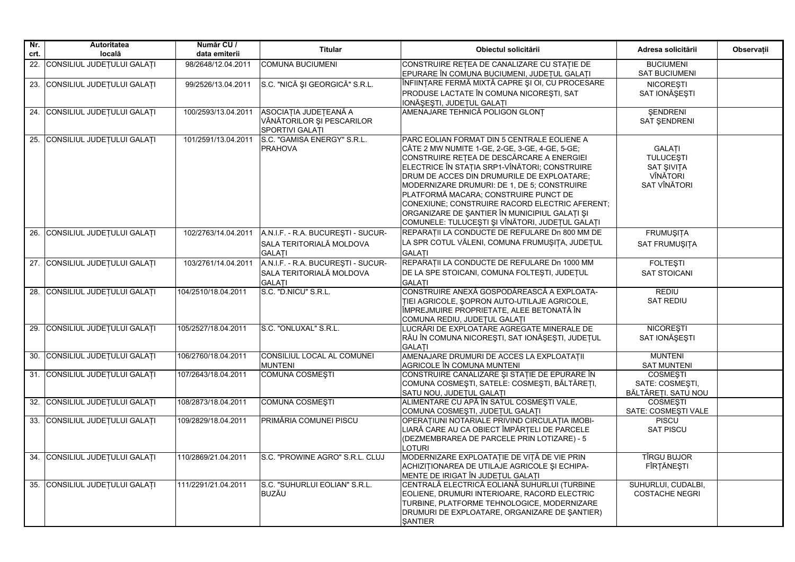| Nr.<br>crt. | Autoritatea<br>locală          | Număr CU /<br>data emiterii | <b>Titular</b>                                                                  | Obiectul solicitării                                                                                                                                                                                                                                                                                                                                                                                                                                                                    | Adresa solicitării                                                          | Observații |
|-------------|--------------------------------|-----------------------------|---------------------------------------------------------------------------------|-----------------------------------------------------------------------------------------------------------------------------------------------------------------------------------------------------------------------------------------------------------------------------------------------------------------------------------------------------------------------------------------------------------------------------------------------------------------------------------------|-----------------------------------------------------------------------------|------------|
|             | 22. CONSILIUL JUDEȚULUI GALAȚI | 98/2648/12.04.2011          | <b>COMUNA BUCIUMENI</b>                                                         | CONSTRUIRE REȚEA DE CANALIZARE CU STAȚIE DE<br>EPURARE ÎN COMUNA BUCIUMENI, JUDEȚUL GALAȚI                                                                                                                                                                                                                                                                                                                                                                                              | <b>BUCIUMENI</b><br><b>SAT BUCIUMENI</b>                                    |            |
| 23.         | CONSILIUL JUDEȚULUI GALAȚI     | 99/2526/13.04.2011          | S.C. "NICĂ ȘI GEORGICĂ" S.R.L.                                                  | ÎNFIINȚARE FERMĂ MIXTĂ CAPRE ȘI OI, CU PROCESARE<br>PRODUSE LACTATE ÎN COMUNA NICOREȘTI, SAT<br>IONĂȘEȘTI, JUDEȚUL GALAȚI                                                                                                                                                                                                                                                                                                                                                               | <b>NICORESTI</b><br>SAT IONĂȘEȘTI                                           |            |
|             | 24. CONSILIUL JUDEȚULUI GALAȚI | 100/2593/13.04.2011         | ASOCIATIA JUDETEANĂ A<br>VÂNĂTORILOR ȘI PESCARILOR<br>SPORTIVI GALATI           | AMENAJARE TEHNICĂ POLIGON GLONT                                                                                                                                                                                                                                                                                                                                                                                                                                                         | <b>SENDRENI</b><br>SAT ŞENDRENI                                             |            |
|             | 25. CONSILIUL JUDEȚULUI GALAȚI | 101/2591/13.04.2011         | S.C. "GAMISA ENERGY" S.R.L.<br><b>PRAHOVA</b>                                   | PARC EOLIAN FORMAT DIN 5 CENTRALE EOLIENE A<br>CÂTE 2 MW NUMITE 1-GE, 2-GE, 3-GE, 4-GE, 5-GE;<br>CONSTRUIRE RETEA DE DESCĂRCARE A ENERGIEI<br>ELECTRICE ÎN STAȚIA SRP1-VÎNĂTORI; CONSTRUIRE<br>DRUM DE ACCES DIN DRUMURILE DE EXPLOATARE;<br>MODERNIZARE DRUMURI: DE 1, DE 5; CONSTRUIRE<br>PLATFORMĂ MACARA; CONSTRUIRE PUNCT DE<br>CONEXIUNE; CONSTRUIRE RACORD ELECTRIC AFERENT;<br>ORGANIZARE DE ŞANTIER ÎN MUNICIPIUL GALAȚI ȘI<br>COMUNELE: TULUCEȘTI ȘI VÎNĂTORI, JUDEȚUL GALAȚI | <b>GALATI</b><br><b>TULUCESTI</b><br>SAT ŞIVIȚA<br>VÎNĂTORI<br>SAT VÎNĂTORI |            |
|             | 26. CONSILIUL JUDEȚULUI GALAȚI | 102/2763/14.04.2011         | A.N.I.F. - R.A. BUCURESTI - SUCUR-<br>SALA TERITORIALĂ MOLDOVA<br><b>GALATI</b> | REPARAȚII LA CONDUCTE DE REFULARE Dn 800 MM DE<br>LA SPR COTUL VĂLENI, COMUNA FRUMUSITA, JUDETUL<br><b>GALATI</b>                                                                                                                                                                                                                                                                                                                                                                       | <b>FRUMUŞITA</b><br>SAT FRUMUŞITA                                           |            |
|             | 27. CONSILIUL JUDEȚULUI GALAȚI | 103/2761/14.04.2011         | A.N.I.F. - R.A. BUCUREȘTI - SUCUR-<br>SALA TERITORIALĂ MOLDOVA<br><b>GALATI</b> | REPARAȚII LA CONDUCTE DE REFULARE Dn 1000 MM<br>DE LA SPE STOICANI, COMUNA FOLTEȘTI, JUDEȚUL<br><b>GALATI</b>                                                                                                                                                                                                                                                                                                                                                                           | <b>FOLTESTI</b><br><b>SAT STOICANI</b>                                      |            |
|             | 28. CONSILIUL JUDEȚULUI GALAȚI | 104/2510/18.04.2011         | S.C. "D.NICU" S.R.L.                                                            | CONSTRUIRE ANEXĂ GOSPODĂREASCĂ A EXPLOATA-<br>TIEI AGRICOLE, SOPRON AUTO-UTILAJE AGRICOLE,<br>ÎMPREJMUIRE PROPRIETATE, ALEE BETONATĂ ÎN<br>COMUNA REDIU, JUDEȚUL GALAȚI                                                                                                                                                                                                                                                                                                                 | <b>REDIU</b><br><b>SAT REDIU</b>                                            |            |
|             | 29. CONSILIUL JUDEȚULUI GALAȚI | 105/2527/18.04.2011         | S.C. "ONLUXAL" S.R.L.                                                           | LUCRĂRI DE EXPLOATARE AGREGATE MINERALE DE<br>RÂU ÎN COMUNA NICOREȘTI, SAT IONĂȘEȘTI, JUDEȚUL<br><b>GALATI</b>                                                                                                                                                                                                                                                                                                                                                                          | <b>NICORESTI</b><br>SAT IONĂȘEȘTI                                           |            |
|             | 30. CONSILIUL JUDEȚULUI GALAȚI | 106/2760/18.04.2011         | CONSILIUL LOCAL AL COMUNEI<br><b>MUNTENI</b>                                    | AMENAJARE DRUMURI DE ACCES LA EXPLOATAȚII<br>AGRICOLE ÎN COMUNA MUNTENI                                                                                                                                                                                                                                                                                                                                                                                                                 | <b>MUNTENI</b><br><b>SAT MUNTENI</b>                                        |            |
|             | 31. CONSILIUL JUDEȚULUI GALAȚI | 107/2643/18.04.2011         | <b>COMUNA COSMESTI</b>                                                          | CONSTRUIRE CANALIZARE ȘI STAȚIE DE EPURARE ÎN<br>COMUNA COSMEȘTI, SATELE: COSMEȘTI, BĂLTĂREȚI,<br>SATU NOU, JUDETUL GALATI                                                                                                                                                                                                                                                                                                                                                              | <b>COSMESTI</b><br>SATE: COSMESTI,<br>BĂLTĂRETI. SATU NOU                   |            |
|             | 32. CONSILIUL JUDEȚULUI GALAȚI | 108/2873/18.04.2011         | COMUNA COSMESTI                                                                 | ALIMENTARE CU APĂ ÎN SATUL COSMEȘTI VALE,<br>COMUNA COSMEȘTI, JUDEȚUL GALAȚI                                                                                                                                                                                                                                                                                                                                                                                                            | <b>COSMEȘTI</b><br>SATE: COSMESTI VALE                                      |            |
|             | 33. CONSILIUL JUDEȚULUI GALAȚI | 109/2829/18.04.2011         | PRIMĂRIA COMUNEI PISCU                                                          | OPERATIUNI NOTARIALE PRIVIND CIRCULATIA IMOBI-<br>LIARĂ CARE AU CA OBIECT ÎMPĂRȚELI DE PARCELE<br>(DEZMEMBRAREA DE PARCELE PRIN LOTIZARE) - 5<br><b>LOTURI</b>                                                                                                                                                                                                                                                                                                                          | PISCU<br><b>SAT PISCU</b>                                                   |            |
|             | 34. CONSILIUL JUDEȚULUI GALAȚI | 110/2869/21.04.2011         | S.C. "PROWINE AGRO" S.R.L. CLUJ                                                 | MODERNIZARE EXPLOATAȚIE DE VIȚĂ DE VIE PRIN<br>ACHIZITIONAREA DE UTILAJE AGRICOLE SI ECHIPA-<br>MENTE DE IRIGAT ÎN JUDEȚUL GALAȚI                                                                                                                                                                                                                                                                                                                                                       | <b>TÎRGU BUJOR</b><br>FÎRTĂNESTI                                            |            |
|             | 35. CONSILIUL JUDEȚULUI GALAȚI | 111/2291/21.04.2011         | S.C. "SUHURLUI EOLIAN" S.R.L.<br>BUZĂU                                          | CENTRALĂ ELECTRICĂ EOLIANĂ SUHURLUI (TURBINE<br>EOLIENE, DRUMURI INTERIOARE, RACORD ELECTRIC<br>TURBINE, PLATFORME TEHNOLOGICE, MODERNIZARE<br>DRUMURI DE EXPLOATARE, ORGANIZARE DE ŞANTIER)<br><b>ŞANTIER</b>                                                                                                                                                                                                                                                                          | SUHURLUI, CUDALBI,<br><b>COSTACHE NEGRI</b>                                 |            |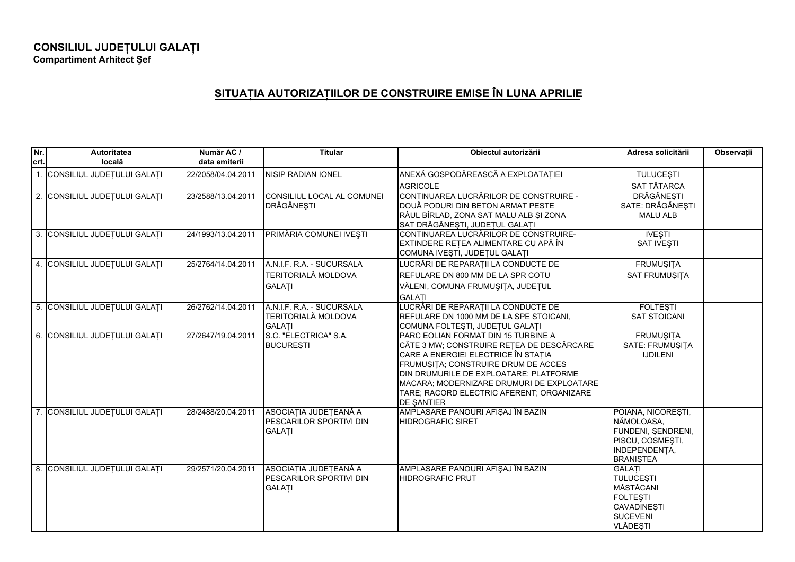## **CONSILIUL JUDE ULUI GALA <sup>I</sup> Compartiment Arhitect ef**

## **SITUA IA AUTORIZA IILOR DE CONSTRUIRE EMISE ÎN LUNA APRILIE**

| Nr.<br>crt. | Autoritatea<br>locală         | Număr AC /<br>data emiterii | <b>Titular</b>                                                           | Obiectul autorizării                                                                                                                                                                                                                                                                                                    | Adresa solicitării                                                                                                     | Observatii |
|-------------|-------------------------------|-----------------------------|--------------------------------------------------------------------------|-------------------------------------------------------------------------------------------------------------------------------------------------------------------------------------------------------------------------------------------------------------------------------------------------------------------------|------------------------------------------------------------------------------------------------------------------------|------------|
|             | 1. CONSILIUL JUDEȚULUI GALAȚI | 22/2058/04.04.2011          | <b>NISIP RADIAN IONEL</b>                                                | ANEXĂ GOSPODĂREASCĂ A EXPLOATAȚIEI                                                                                                                                                                                                                                                                                      | <b>TULUCESTI</b>                                                                                                       |            |
|             |                               |                             |                                                                          | <b>AGRICOLE</b>                                                                                                                                                                                                                                                                                                         | SAT TĂTARCA                                                                                                            |            |
|             | 2. CONSILIUL JUDEȚULUI GALAȚI | 23/2588/13.04.2011          | CONSILIUL LOCAL AL COMUNEI<br>DRĂGĂNEȘTI                                 | CONTINUAREA LUCRĂRILOR DE CONSTRUIRE -<br>DOUĂ PODURI DIN BETON ARMAT PESTE<br>RÂUL BÎRLAD, ZONA SAT MALU ALB ȘI ZONA<br>SAT DRĂGĂNEȘTI, JUDEȚUL GALAȚI                                                                                                                                                                 | <b>DRĂGĂNEȘTI</b><br>SATE: DRĂGĂNEȘTI<br><b>MALU ALB</b>                                                               |            |
|             | 3. CONSILIUL JUDEȚULUI GALAȚI | 24/1993/13.04.2011          | PRIMĂRIA COMUNEI IVEȘTI                                                  | CONTINUAREA LUCRĂRILOR DE CONSTRUIRE-<br>EXTINDERE REȚEA ALIMENTARE CU APĂ ÎN<br>COMUNA IVEŞTI, JUDEȚUL GALAȚI                                                                                                                                                                                                          | <b>IVEŞTI</b><br><b>SAT IVESTI</b>                                                                                     |            |
|             | 4. CONSILIUL JUDEȚULUI GALAȚI | 25/2764/14.04.2011          | A.N.I.F. R.A. - SUCURSALA                                                | LUCRĂRI DE REPARAȚII LA CONDUCTE DE                                                                                                                                                                                                                                                                                     | FRUMUŞIȚA                                                                                                              |            |
|             |                               |                             | <b>TERITORIALĂ MOLDOVA</b>                                               | REFULARE DN 800 MM DE LA SPR COTU                                                                                                                                                                                                                                                                                       | SAT FRUMUŞITA                                                                                                          |            |
|             |                               |                             | <b>GALATI</b>                                                            | VĂLENI, COMUNA FRUMUȘIȚA, JUDEȚUL                                                                                                                                                                                                                                                                                       |                                                                                                                        |            |
|             |                               |                             |                                                                          | <b>GALATI</b>                                                                                                                                                                                                                                                                                                           |                                                                                                                        |            |
|             | 5. CONSILIUL JUDEȚULUI GALAȚI | 26/2762/14.04.2011          | A.N.I.F. R.A. - SUCURSALA<br><b>TERITORIALĂ MOLDOVA</b><br><b>GALATI</b> | LUCRĂRI DE REPARAȚII LA CONDUCTE DE<br>REFULARE DN 1000 MM DE LA SPE STOICANI,<br>COMUNA FOLTEŞTI, JUDEȚUL GALAȚI                                                                                                                                                                                                       | <b>FOLTESTI</b><br><b>SAT STOICANI</b>                                                                                 |            |
|             | 6. CONSILIUL JUDEȚULUI GALAȚI | 27/2647/19.04.2011          | S.C. "ELECTRICA" S.A.<br><b>BUCURESTI</b>                                | PARC EOLIAN FORMAT DIN 15 TURBINE A<br>CÂTE 3 MW; CONSTRUIRE REȚEA DE DESCĂRCARE<br>CARE A ENERGIEI ELECTRICE ÎN STAȚIA<br>FRUMUSITA; CONSTRUIRE DRUM DE ACCES<br>DIN DRUMURILE DE EXPLOATARE: PLATFORME<br>MACARA; MODERNIZARE DRUMURI DE EXPLOATARE<br>TARE; RACORD ELECTRIC AFERENT; ORGANIZARE<br><b>DE ŞANTIER</b> | <b>FRUMUŞITA</b><br>SATE: FRUMUŞITA<br><b>IJDILENI</b>                                                                 |            |
|             | 7. CONSILIUL JUDEȚULUI GALAȚI | 28/2488/20.04.2011          | ASOCIAȚIA JUDEȚEANĂ A<br><b>PESCARILOR SPORTIVI DIN</b><br><b>GALATI</b> | AMPLASARE PANOURI AFIŞAJ ÎN BAZIN<br><b>HIDROGRAFIC SIRET</b>                                                                                                                                                                                                                                                           | POIANA, NICOREȘTI,<br>NĂMOLOASA,<br>FUNDENI, ŞENDRENI,<br>PISCU, COSMEȘTI,<br>INDEPENDENȚA,<br><b>BRANIŞTEA</b>        |            |
|             | 8. CONSILIUL JUDEȚULUI GALAȚI | 29/2571/20.04.2011          | ASOCIAȚIA JUDEȚEANĂ A<br><b>PESCARILOR SPORTIVI DIN</b><br><b>GALATI</b> | AMPLASARE PANOURI AFIŞAJ ÎN BAZIN<br><b>HIDROGRAFIC PRUT</b>                                                                                                                                                                                                                                                            | <b>GALATI</b><br><b>TULUCEȘTI</b><br>MĂSTĂCANI<br><b>FOLTEŞTI</b><br><b>CAVADINEŞTI</b><br>SUCEVENI<br><b>VLĂDEȘTI</b> |            |